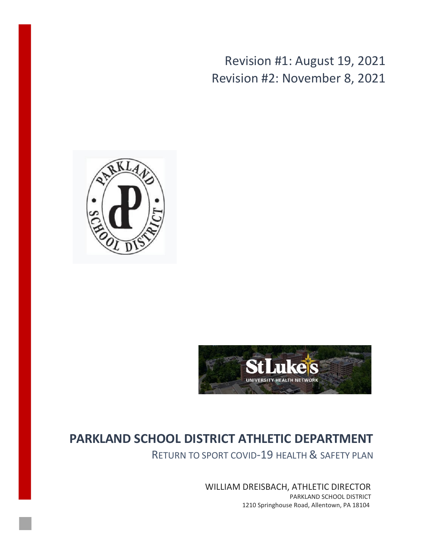Revision #1: August 19, 2021 Revision #2: November 8, 2021





# **PARKLAND SCHOOL DISTRICT ATHLETIC DEPARTMENT**

RETURN TO SPORT COVID-19 HEALTH & SAFETY PLAN

WILLIAM DREISBACH, ATHLETIC DIRECTOR PARKLAND SCHOOL DISTRICT 1210 Springhouse Road, Allentown, PA 18104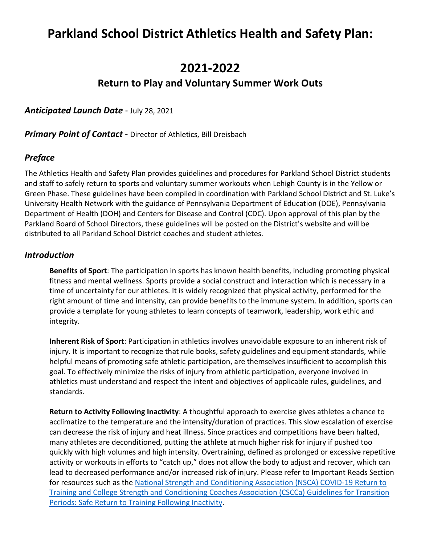# **Parkland School District Athletics Health and Safety Plan:**

## **2021-2022**

## **Return to Play and Voluntary Summer Work Outs**

*Anticipated Launch Date* - July 28, 2021

*Primary Point of Contact* - Director of Athletics, Bill Dreisbach

#### *Preface*

The Athletics Health and Safety Plan provides guidelines and procedures for Parkland School District students and staff to safely return to sports and voluntary summer workouts when Lehigh County is in the Yellow or Green Phase. These guidelines have been compiled in coordination with Parkland School District and St. Luke's University Health Network with the guidance of Pennsylvania Department of Education (DOE), Pennsylvania Department of Health (DOH) and Centers for Disease and Control (CDC). Upon approval of this plan by the Parkland Board of School Directors, these guidelines will be posted on the District's website and will be distributed to all Parkland School District coaches and student athletes.

#### *Introduction*

**Benefits of Sport**: The participation in sports has known health benefits, including promoting physical fitness and mental wellness. Sports provide a social construct and interaction which is necessary in a time of uncertainty for our athletes. It is widely recognized that physical activity, performed for the right amount of time and intensity, can provide benefits to the immune system. In addition, sports can provide a template for young athletes to learn concepts of teamwork, leadership, work ethic and integrity.

**Inherent Risk of Sport**: Participation in athletics involves unavoidable exposure to an inherent risk of injury. It is important to recognize that rule books, safety guidelines and equipment standards, while helpful means of promoting safe athletic participation, are themselves insufficient to accomplish this goal. To effectively minimize the risks of injury from athletic participation, everyone involved in athletics must understand and respect the intent and objectives of applicable rules, guidelines, and standards.

**Return to Activity Following Inactivity**: A thoughtful approach to exercise gives athletes a chance to acclimatize to the temperature and the intensity/duration of practices. This slow escalation of exercise can decrease the risk of injury and heat illness. Since practices and competitions have been halted, many athletes are deconditioned, putting the athlete at much higher risk for injury if pushed too quickly with high volumes and high intensity. Overtraining, defined as prolonged or excessive repetitive activity or workouts in efforts to "catch up," does not allow the body to adjust and recover, which can lead to decreased performance and/or increased risk of injury. Please refer to Important Reads Section for resources such as the [National Strength and Conditioning Association \(NSCA\) COVID-19 Return to](https://journals.lww.com/nsca-scj/fulltext/2019/06000/cscca_and_nsca_joint_consensus_guidelines_for.1.aspx) [Training and College Strength and Conditioning Coaches Association \(CSCCa\) Guidelines for Transition](https://journals.lww.com/nsca-scj/fulltext/2019/06000/cscca_and_nsca_joint_consensus_guidelines_for.1.aspx) [Periods: Safe Return to Training Following Inactivity.](https://journals.lww.com/nsca-scj/fulltext/2019/06000/cscca_and_nsca_joint_consensus_guidelines_for.1.aspx)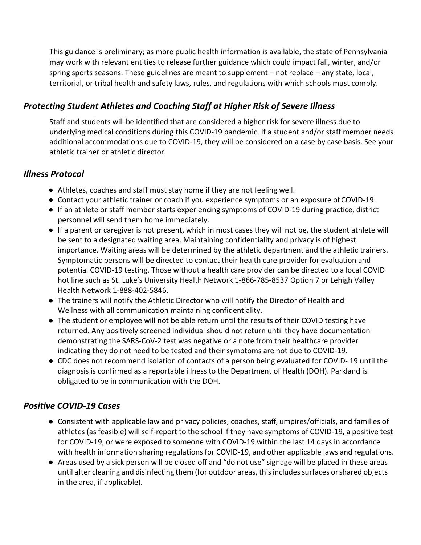This guidance is preliminary; as more public health information is available, the state of Pennsylvania may work with relevant entities to release further guidance which could impact fall, winter, and/or spring sports seasons. These guidelines are meant to supplement – not replace – any state, local, territorial, or tribal health and safety laws, rules, and regulations with which schools must comply.

## *Protecting Student Athletes and Coaching Staff at Higher Risk of Severe Illness*

Staff and students will be identified that are considered a higher risk for severe illness due to underlying medical conditions during this COVID-19 pandemic. If a student and/or staff member needs additional accommodations due to COVID-19, they will be considered on a case by case basis. See your athletic trainer or athletic director.

#### *Illness Protocol*

- Athletes, coaches and staff must stay home if they are not feeling well.
- Contact your athletic trainer or coach if you experience symptoms or an exposure of COVID-19.
- If an athlete or staff member starts experiencing symptoms of COVID-19 during practice, district personnel will send them home immediately.
- If a parent or caregiver is not present, which in most cases they will not be, the student athlete will be sent to a designated waiting area. Maintaining confidentiality and privacy is of highest importance. Waiting areas will be determined by the athletic department and the athletic trainers. Symptomatic persons will be directed to contact their health care provider for evaluation and potential COVID-19 testing. Those without a health care provider can be directed to a local COVID hot line such as St. Luke's University Health Network 1-866-785-8537 Option 7 or Lehigh Valley Health Network 1-888-402-5846.
- The trainers will notify the Athletic Director who will notify the Director of Health and Wellness with all communication maintaining confidentiality.
- The student or employee will not be able return until the results of their COVID testing have returned. Any positively screened individual should not return until they have documentation demonstrating the SARS-CoV-2 test was negative or a note from their healthcare provider indicating they do not need to be tested and their symptoms are not due to COVID-19.
- CDC does not recommend isolation of contacts of a person being evaluated for COVID- 19 until the diagnosis is confirmed as a reportable illness to the Department of Health (DOH). Parkland is obligated to be in communication with the DOH.

## *Positive COVID-19 Cases*

- Consistent with applicable law and privacy policies, coaches, staff, umpires/officials, and families of athletes (as feasible) will self-report to the school if they have symptoms of COVID-19, a positive test for COVID-19, or were exposed to someone with COVID-19 within the last 14 days in accordance with health information sharing regulations for COVID-19, and other applicable laws and regulations.
- Areas used by a sick person will be closed off and "do not use" signage will be placed in these areas until after cleaning and disinfecting them (for outdoor areas, this includes surfaces orshared objects in the area, if applicable).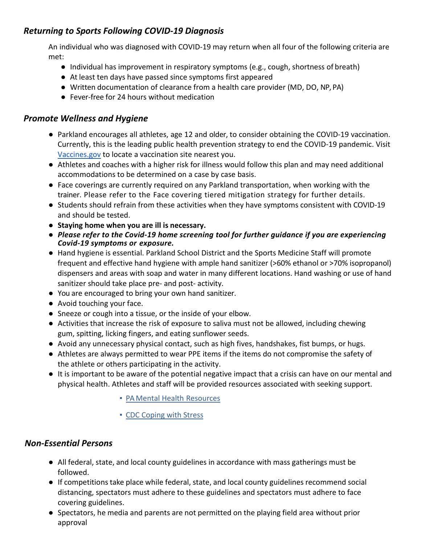## *Returning to Sports Following COVID-19 Diagnosis*

An individual who was diagnosed with COVID-19 may return when all four of the following criteria are met:

- Individual has improvement in respiratory symptoms (e.g., cough, shortness of breath)
- At least ten days have passed since symptoms first appeared
- Written documentation of clearance from a health care provider (MD, DO, NP, PA)
- Fever-free for 24 hours without medication

#### *Promote Wellness and Hygiene*

- Parkland encourages all athletes, age 12 and older, to consider obtaining the COVID-19 vaccination. Currently, this is the leading public health prevention strategy to end the COVID-19 pandemic. Visit [Vaccines.gov](https://www.vaccines.gov/) to locate a vaccination site nearest you.
- Athletes and coaches with a higher risk for illness would follow this plan and may need additional accommodations to be determined on a case by case basis.
- Face coverings are currently required on any Parkland transportation, when working with the trainer. Please refer to the Face covering tiered mitigation strategy for further details.
- Students should refrain from these activities when they have symptoms consistent with COVID-19 and should be tested.
- **Staying home when you are ill is necessary.**
- *Please refer to the Covid-19 home screening tool for further guidance if you are experiencing Covid-19 symptoms or exposure.*
- Hand hygiene is essential. Parkland School District and the Sports Medicine Staff will promote frequent and effective hand hygiene with ample hand sanitizer (>60% ethanol or >70% isopropanol) dispensers and areas with soap and water in many different locations. Hand washing or use of hand sanitizer should take place pre- and post- activity.
- You are encouraged to bring your own hand sanitizer.
- Avoid touching your face.
- Sneeze or cough into a tissue, or the inside of your elbow.
- Activities that increase the risk of exposure to saliva must not be allowed, including chewing gum, spitting, licking fingers, and eating sunflower seeds.
- Avoid any unnecessary physical contact, such as high fives, handshakes, fist bumps, or hugs.
- Athletes are always permitted to wear PPE items if the items do not compromise the safety of the athlete or others participating in the activity.
- It is important to be aware of the potential negative impact that a crisis can have on our mental and [physical health. Athletes and staff will be provided r](https://resources.finalsite.net/images/v1592847902/parklandsdorg/hogkrampd7cnf1aj8z96/MentalHealthResources.pdf)esources associated with seeking support.
	- [PA Mental Health](https://www.cdc.gov/coronavirus/2019-ncov/daily-life-coping/managing-stress-anxiety.html) Resources
	- CDC Coping with Stress

#### *Non-Essential Persons*

- All federal, state, and local county guidelines in accordance with mass gatherings must be followed.
- If competitions take place while federal, state, and local county guidelines recommend social distancing, spectators must adhere to these guidelines and spectators must adhere to face covering guidelines.
- Spectators, he media and parents are not permitted on the playing field area without prior approval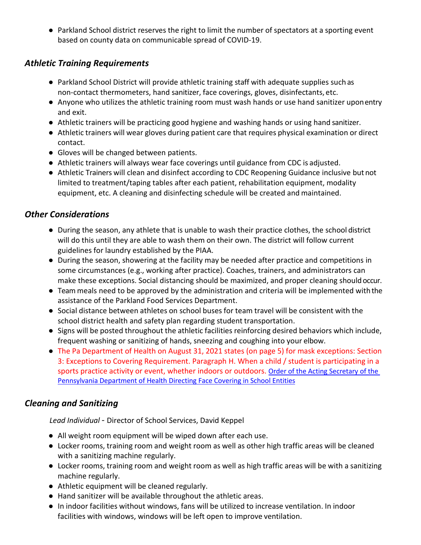● Parkland School district reserves the right to limit the number of spectators at a sporting event based on county data on communicable spread of COVID-19.

#### *Athletic Training Requirements*

- Parkland School District will provide athletic training staff with adequate supplies such as non-contact thermometers, hand sanitizer, face coverings, gloves, disinfectants, etc.
- Anyone who utilizes the athletic training room must wash hands or use hand sanitizer uponentry and exit.
- Athletic trainers will be practicing good hygiene and washing hands or using hand sanitizer.
- Athletic trainers will wear gloves during patient care that requires physical examination or direct contact.
- Gloves will be changed between patients.
- Athletic trainers will always wear face coverings until guidance from CDC is adjusted.
- Athletic Trainers will clean and disinfect according to CDC Reopening Guidance inclusive but not limited to treatment/taping tables after each patient, rehabilitation equipment, modality equipment, etc. A cleaning and disinfecting schedule will be created and maintained.

## *Other Considerations*

- During the season, any athlete that is unable to wash their practice clothes, the school district will do this until they are able to wash them on their own. The district will follow current guidelines for laundry established by the PIAA.
- During the season, showering at the facility may be needed after practice and competitions in some circumstances (e.g., working after practice). Coaches, trainers, and administrators can make these exceptions. Social distancing should be maximized, and proper cleaning shouldoccur.
- Team meals need to be approved by the administration and criteria will be implemented with the assistance of the Parkland Food Services Department.
- Social distance between athletes on school buses for team travel will be consistent with the school district health and safety plan regarding student transportation.
- Signs will be posted throughout the athletic facilities reinforcing desired behaviors which include, frequent washing or sanitizing of hands, sneezing and coughing into your elbow.
- The Pa Department of Health on August 31, 2021 states (on page 5) for mask exceptions: Section 3: Exceptions to Covering Requirement. Paragraph H. When a child / student is participating in a sports practice activity or event, whether indoors or outdoors. [Order of the Acting Secretary of the](https://www.health.pa.gov/topics/Documents/Diseases%20and%20Conditions/Order%20of%20the%20Acting%20Secretary%20Directing%20Face%20Coverings%20in%20Schools.pdf)  [Pennsylvania Department of Health Directing Face Covering in School Entities](https://www.health.pa.gov/topics/Documents/Diseases%20and%20Conditions/Order%20of%20the%20Acting%20Secretary%20Directing%20Face%20Coverings%20in%20Schools.pdf)

## *Cleaning and Sanitizing*

*Lead Individual* - Director of School Services, David Keppel

- All weight room equipment will be wiped down after each use.
- Locker rooms, training room and weight room as well as other high traffic areas will be cleaned with a sanitizing machine regularly.
- Locker rooms, training room and weight room as well as high traffic areas will be with a sanitizing machine regularly.
- Athletic equipment will be cleaned regularly.
- Hand sanitizer will be available throughout the athletic areas.
- In indoor facilities without windows, fans will be utilized to increase ventilation. In indoor facilities with windows, windows will be left open to improve ventilation.